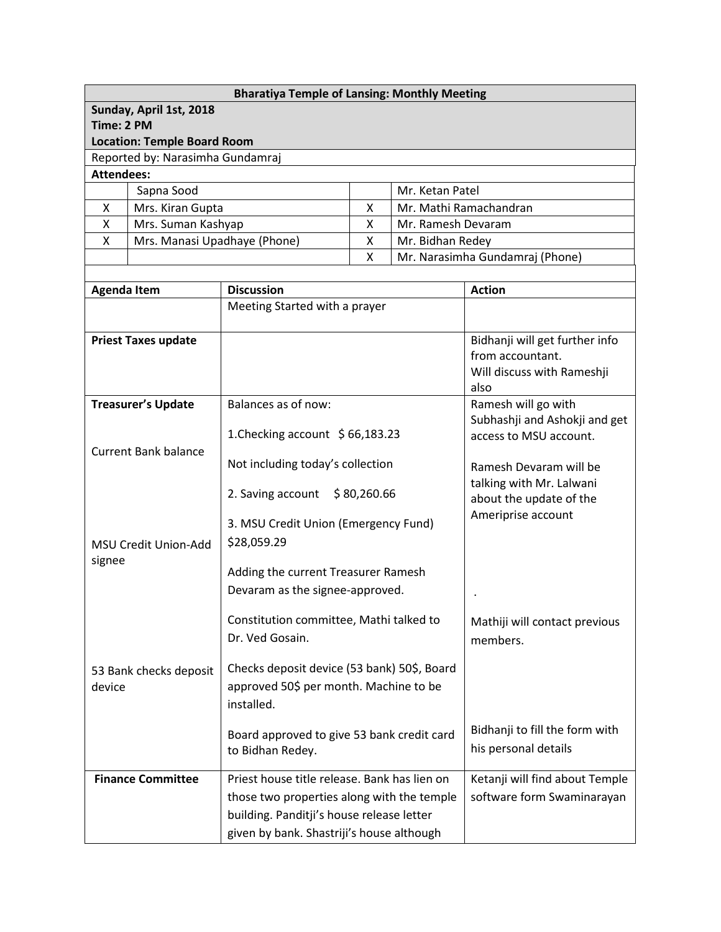|                   |                                    | <b>Bharatiya Temple of Lansing: Monthly Meeting</b>                                                                                                                                  |                    |                        |                                                                                  |
|-------------------|------------------------------------|--------------------------------------------------------------------------------------------------------------------------------------------------------------------------------------|--------------------|------------------------|----------------------------------------------------------------------------------|
|                   | Sunday, April 1st, 2018            |                                                                                                                                                                                      |                    |                        |                                                                                  |
| Time: 2 PM        |                                    |                                                                                                                                                                                      |                    |                        |                                                                                  |
|                   | <b>Location: Temple Board Room</b> |                                                                                                                                                                                      |                    |                        |                                                                                  |
| <b>Attendees:</b> | Reported by: Narasimha Gundamraj   |                                                                                                                                                                                      |                    |                        |                                                                                  |
|                   | Sapna Sood                         |                                                                                                                                                                                      |                    | Mr. Ketan Patel        |                                                                                  |
| X                 | Mrs. Kiran Gupta                   |                                                                                                                                                                                      | X                  |                        | Mr. Mathi Ramachandran                                                           |
| X                 | Mrs. Suman Kashyap                 |                                                                                                                                                                                      | X                  | Mr. Ramesh Devaram     |                                                                                  |
| X                 | Mrs. Manasi Upadhaye (Phone)       |                                                                                                                                                                                      | X                  | Mr. Bidhan Redey       |                                                                                  |
|                   |                                    |                                                                                                                                                                                      | X                  |                        | Mr. Narasimha Gundamraj (Phone)                                                  |
|                   |                                    |                                                                                                                                                                                      |                    |                        |                                                                                  |
|                   | <b>Agenda Item</b>                 | <b>Discussion</b>                                                                                                                                                                    |                    |                        | <b>Action</b>                                                                    |
|                   |                                    | Meeting Started with a prayer                                                                                                                                                        |                    |                        |                                                                                  |
|                   | <b>Priest Taxes update</b>         |                                                                                                                                                                                      |                    |                        | Bidhanji will get further info<br>from accountant.<br>Will discuss with Rameshji |
|                   |                                    |                                                                                                                                                                                      |                    |                        | also                                                                             |
|                   | <b>Treasurer's Update</b>          | Balances as of now:                                                                                                                                                                  |                    |                        | Ramesh will go with                                                              |
|                   |                                    | 1. Checking account $$66,183.23$                                                                                                                                                     |                    |                        | Subhashji and Ashokji and get<br>access to MSU account.                          |
|                   | <b>Current Bank balance</b>        | Not including today's collection                                                                                                                                                     |                    | Ramesh Devaram will be |                                                                                  |
|                   |                                    | 2. Saving account                                                                                                                                                                    | \$80,260.66        |                        | talking with Mr. Lalwani<br>about the update of the                              |
|                   | <b>MSU Credit Union-Add</b>        | 3. MSU Credit Union (Emergency Fund)<br>\$28,059.29                                                                                                                                  | Ameriprise account |                        |                                                                                  |
| signee            |                                    | Adding the current Treasurer Ramesh<br>Devaram as the signee-approved.                                                                                                               |                    |                        |                                                                                  |
|                   |                                    | Constitution committee, Mathi talked to<br>Dr. Ved Gosain.                                                                                                                           |                    |                        | Mathiji will contact previous<br>members.                                        |
| device            | 53 Bank checks deposit             | Checks deposit device (53 bank) 50\$, Board<br>approved 50\$ per month. Machine to be<br>installed.                                                                                  |                    |                        |                                                                                  |
|                   |                                    | Board approved to give 53 bank credit card<br>to Bidhan Redey.                                                                                                                       |                    |                        | Bidhanji to fill the form with<br>his personal details                           |
|                   | <b>Finance Committee</b>           | Priest house title release. Bank has lien on<br>those two properties along with the temple<br>building. Panditji's house release letter<br>given by bank. Shastriji's house although |                    |                        | Ketanji will find about Temple<br>software form Swaminarayan                     |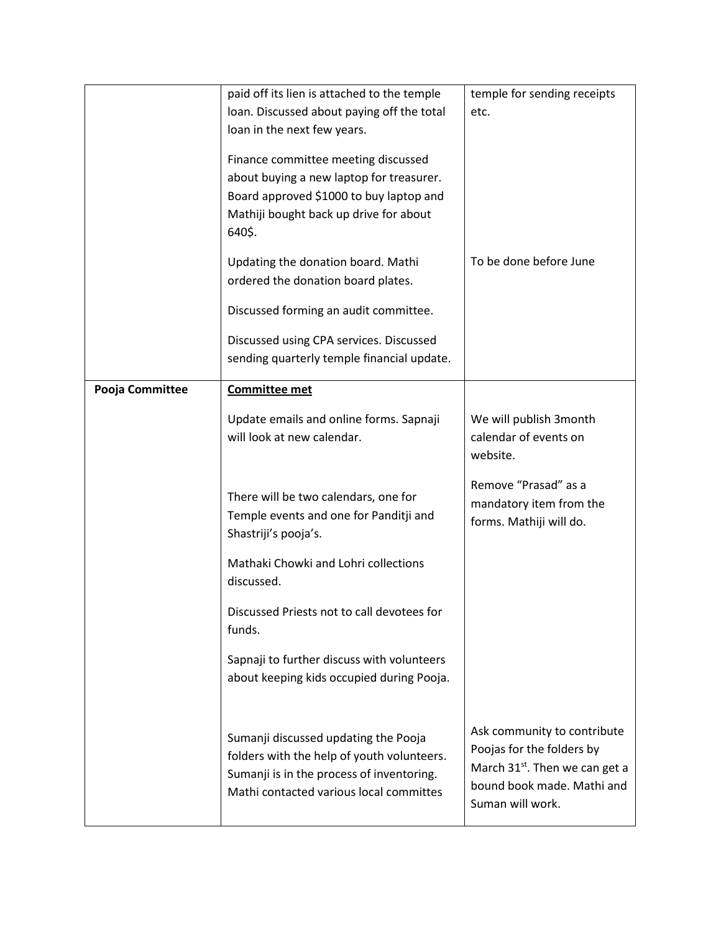|                 | paid off its lien is attached to the temple        | temple for sending receipts                |
|-----------------|----------------------------------------------------|--------------------------------------------|
|                 | loan. Discussed about paying off the total         | etc.                                       |
|                 | loan in the next few years.                        |                                            |
|                 | Finance committee meeting discussed                |                                            |
|                 | about buying a new laptop for treasurer.           |                                            |
|                 | Board approved \$1000 to buy laptop and            |                                            |
|                 | Mathiji bought back up drive for about             |                                            |
|                 | 640\$.                                             |                                            |
|                 | Updating the donation board. Mathi                 | To be done before June                     |
|                 | ordered the donation board plates.                 |                                            |
|                 | Discussed forming an audit committee.              |                                            |
|                 |                                                    |                                            |
|                 | Discussed using CPA services. Discussed            |                                            |
|                 | sending quarterly temple financial update.         |                                            |
| Pooja Committee | <b>Committee met</b>                               |                                            |
|                 | Update emails and online forms. Sapnaji            | We will publish 3month                     |
|                 | will look at new calendar.                         | calendar of events on                      |
|                 |                                                    | website.                                   |
|                 |                                                    |                                            |
|                 | There will be two calendars, one for               | Remove "Prasad" as a                       |
|                 | Temple events and one for Panditji and             | mandatory item from the                    |
|                 | Shastriji's pooja's.                               | forms. Mathiji will do.                    |
|                 |                                                    |                                            |
|                 | Mathaki Chowki and Lohri collections<br>discussed. |                                            |
|                 |                                                    |                                            |
|                 | Discussed Priests not to call devotees for         |                                            |
|                 | funds.                                             |                                            |
|                 | Sapnaji to further discuss with volunteers         |                                            |
|                 | about keeping kids occupied during Pooja.          |                                            |
|                 |                                                    |                                            |
|                 |                                                    |                                            |
|                 | Sumanji discussed updating the Pooja               | Ask community to contribute                |
|                 | folders with the help of youth volunteers.         | Poojas for the folders by                  |
|                 | Sumanji is in the process of inventoring.          | March 31 <sup>st</sup> . Then we can get a |
|                 | Mathi contacted various local committes            | bound book made. Mathi and                 |
|                 |                                                    | Suman will work.                           |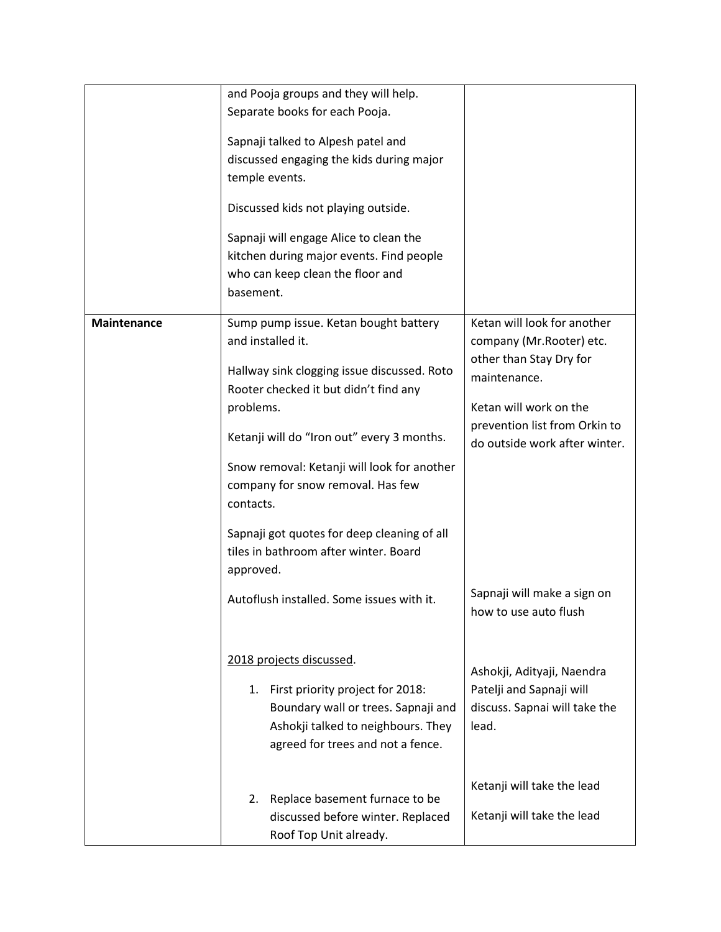| and Pooja groups and they will help.                                                                                                                                                                                           |  |
|--------------------------------------------------------------------------------------------------------------------------------------------------------------------------------------------------------------------------------|--|
| Separate books for each Pooja.                                                                                                                                                                                                 |  |
| Sapnaji talked to Alpesh patel and<br>discussed engaging the kids during major                                                                                                                                                 |  |
| temple events.                                                                                                                                                                                                                 |  |
| Discussed kids not playing outside.                                                                                                                                                                                            |  |
| Sapnaji will engage Alice to clean the                                                                                                                                                                                         |  |
| kitchen during major events. Find people                                                                                                                                                                                       |  |
| who can keep clean the floor and                                                                                                                                                                                               |  |
| basement.                                                                                                                                                                                                                      |  |
| Ketan will look for another<br><b>Maintenance</b><br>Sump pump issue. Ketan bought battery                                                                                                                                     |  |
| and installed it.<br>company (Mr. Rooter) etc.                                                                                                                                                                                 |  |
| other than Stay Dry for<br>Hallway sink clogging issue discussed. Roto<br>maintenance.<br>Rooter checked it but didn't find any                                                                                                |  |
| Ketan will work on the<br>problems.                                                                                                                                                                                            |  |
| prevention list from Orkin to<br>Ketanji will do "Iron out" every 3 months.<br>do outside work after winter.                                                                                                                   |  |
| Snow removal: Ketanji will look for another<br>company for snow removal. Has few<br>contacts.                                                                                                                                  |  |
| Sapnaji got quotes for deep cleaning of all<br>tiles in bathroom after winter. Board<br>approved.                                                                                                                              |  |
| Sapnaji will make a sign on<br>Autoflush installed. Some issues with it.<br>how to use auto flush                                                                                                                              |  |
| 2018 projects discussed.<br>Ashokji, Adityaji, Naendra                                                                                                                                                                         |  |
| Patelji and Sapnaji will<br>First priority project for 2018:<br>1.<br>Boundary wall or trees. Sapnaji and<br>discuss. Sapnai will take the<br>Ashokji talked to neighbours. They<br>lead.<br>agreed for trees and not a fence. |  |
|                                                                                                                                                                                                                                |  |
| Ketanji will take the lead<br>Replace basement furnace to be<br>2.                                                                                                                                                             |  |
| Ketanji will take the lead<br>discussed before winter. Replaced<br>Roof Top Unit already.                                                                                                                                      |  |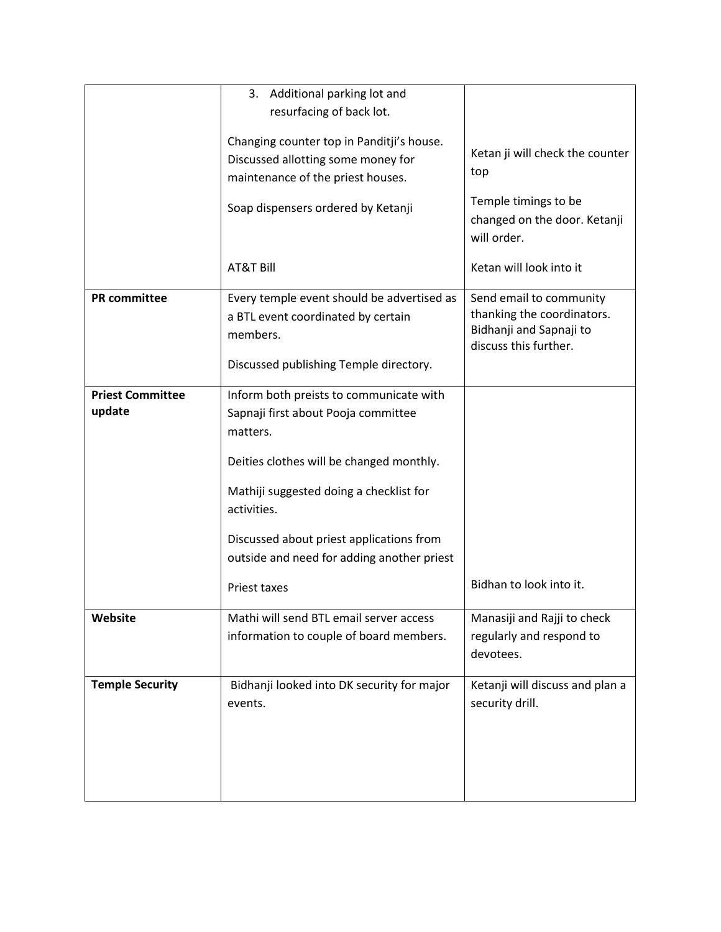|                                   | 3. Additional parking lot and                                                                                                          |                                                                                                           |
|-----------------------------------|----------------------------------------------------------------------------------------------------------------------------------------|-----------------------------------------------------------------------------------------------------------|
|                                   | resurfacing of back lot.                                                                                                               |                                                                                                           |
|                                   | Changing counter top in Panditji's house.<br>Discussed allotting some money for<br>maintenance of the priest houses.                   | Ketan ji will check the counter<br>top                                                                    |
|                                   | Soap dispensers ordered by Ketanji                                                                                                     | Temple timings to be<br>changed on the door. Ketanji<br>will order.                                       |
|                                   | <b>AT&amp;T Bill</b>                                                                                                                   | Ketan will look into it                                                                                   |
| <b>PR</b> committee               | Every temple event should be advertised as<br>a BTL event coordinated by certain<br>members.<br>Discussed publishing Temple directory. | Send email to community<br>thanking the coordinators.<br>Bidhanji and Sapnaji to<br>discuss this further. |
|                                   |                                                                                                                                        |                                                                                                           |
| <b>Priest Committee</b><br>update | Inform both preists to communicate with<br>Sapnaji first about Pooja committee<br>matters.                                             |                                                                                                           |
|                                   | Deities clothes will be changed monthly.                                                                                               |                                                                                                           |
|                                   | Mathiji suggested doing a checklist for<br>activities.                                                                                 |                                                                                                           |
|                                   | Discussed about priest applications from<br>outside and need for adding another priest                                                 |                                                                                                           |
|                                   | Priest taxes                                                                                                                           | Bidhan to look into it.                                                                                   |
| Website                           | Mathi will send BTL email server access                                                                                                | Manasiji and Rajji to check                                                                               |
|                                   | information to couple of board members.                                                                                                | regularly and respond to<br>devotees.                                                                     |
| <b>Temple Security</b>            | Bidhanji looked into DK security for major<br>events.                                                                                  | Ketanji will discuss and plan a<br>security drill.                                                        |
|                                   |                                                                                                                                        |                                                                                                           |